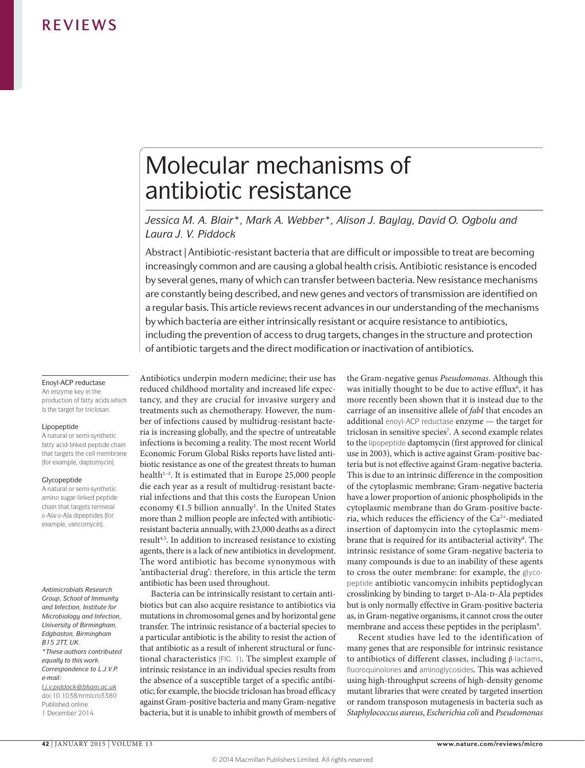# Molecular mechanisms of antibiotic resistance

*Jessica M. A. Blair\*, Mark A. Webber\*, Alison J. Baylay, David O. Ogbolu and Laura J. V. Piddock*

Abstract | Antibiotic-resistant bacteria that are difficult or impossible to treat are becoming increasingly common and are causing a global health crisis. Antibiotic resistance is encoded by several genes, many of which can transfer between bacteria. New resistance mechanisms are constantly being described, and new genes and vectors of transmission are identified on a regular basis. This article reviews recent advances in our understanding of the mechanisms by which bacteria are either intrinsically resistant or acquire resistance to antibiotics, including the prevention of access to drug targets, changes in the structure and protection of antibiotic targets and the direct modification or inactivation of antibiotics.

### Enoyl-ACP reductase

An enzyme key in the production of fatty acids which is the target for triclosan.

### Lipopeptide

A natural or semi-synthetic fatty acid-linked peptide chain that targets the cell membrane (for example, daptomycin).

#### Glycopeptide

A natural or semi-synthetic amino sugar-linked peptide chain that targets terminal p-Ala-p-Ala dipeptides (for example, vancomycin).

*Antimicrobials Research Group, School of Immunity and Infection, Institute for Microbiology and Infection, University of Birmingham, Edgbaston, Birmingham B15 2TT, UK. \*These authors contributed equally to this work. Correspondence to L.J.V.P. e-mail: [l.j.v.piddock@bham.ac.uk](mailto:l.j.v.piddock@bham.ac.uk)* doi:10.1038/nrmicro3380 Published online 1 December 2014

Antibiotics underpin modern medicine; their use has reduced childhood mortality and increased life expectancy, and they are crucial for invasive surgery and treatments such as chemotherapy. However, the number of infections caused by multidrug-resistant bacteria is increasing globally, and the spectre of untreatable infections is becoming a reality. The most recent World Economic Forum Global Risks reports have listed antibiotic resistance as one of the greatest threats to human health<sup>1-3</sup>. It is estimated that in Europe 25,000 people die each year as a result of multidrug-resistant bacterial infections and that this costs the European Union economy  $E1.5$  billion annually<sup>1</sup>. In the United States more than 2 million people are infected with antibioticresistant bacteria annually, with 23,000 deaths as a direct result4,5 . In addition to increased resistance to existing agents, there is a lack of new antibiotics in development. The word antibiotic has become synonymous with 'antibacterial drug': therefore, in this article the term antibiotic has been used throughout.

Bacteria can be intrinsically resistant to certain antibiotics but can also acquire resistance to antibiotics via mutations in chromosomal genes and by horizontal gene transfer. The intrinsic resistance of a bacterial species to a particular antibiotic is the ability to resist the action of that antibiotic as a result of inherent structural or functional characteristics (FIG. 1). The simplest example of intrinsic resistance in an individual species results from the absence of a susceptible target of a specific antibiotic; for example, the biocide triclosan has broad efficacy against Gram-positive bacteria and many Gram-negative bacteria, but it is unable to inhibit growth of members of the Gram-negative genus *Pseudomonas*. Although this was initially thought to be due to active efflux<sup>6</sup>, it has more recently been shown that it is instead due to the carriage of an insensitive allele of *fabI* that encodes an additional enoyl-ACP reductase enzyme — the target for triclosan in sensitive species<sup>7</sup>. A second example relates to the lipopeptide daptomycin (first approved for clinical use in 2003), which is active against Gram-positive bacteria but is not effective against Gram-negative bacteria. This is due to an intrinsic difference in the composition of the cytoplasmic membrane; Gram-negative bacteria have a lower proportion of anionic phospholipids in the cytoplasmic membrane than do Gram-positive bacteria, which reduces the efficiency of the Ca2+-mediated insertion of daptomycin into the cytoplasmic membrane that is required for its antibacterial activity<sup>8</sup>. The intrinsic resistance of some Gram-negative bacteria to many compounds is due to an inability of these agents to cross the outer membrane: for example, the glycopeptide antibiotic vancomycin inhibits peptidoglycan crosslinking by binding to target D-Ala-D-Ala peptides but is only normally effective in Gram-positive bacteria as, in Gram-negative organisms, it cannot cross the outer membrane and access these peptides in the periplasm<sup>9</sup>.

Recent studies have led to the identification of many genes that are responsible for intrinsic resistance to antibiotics of different classes, including β-lactams, fluoroquinolones and aminoglycosides. This was achieved using high-throughput screens of high-density genome mutant libraries that were created by targeted insertion or random transposon mutagenesis in bacteria such as *Staphylococcus aureus*, *Escherichia coli* and *Pseudomonas*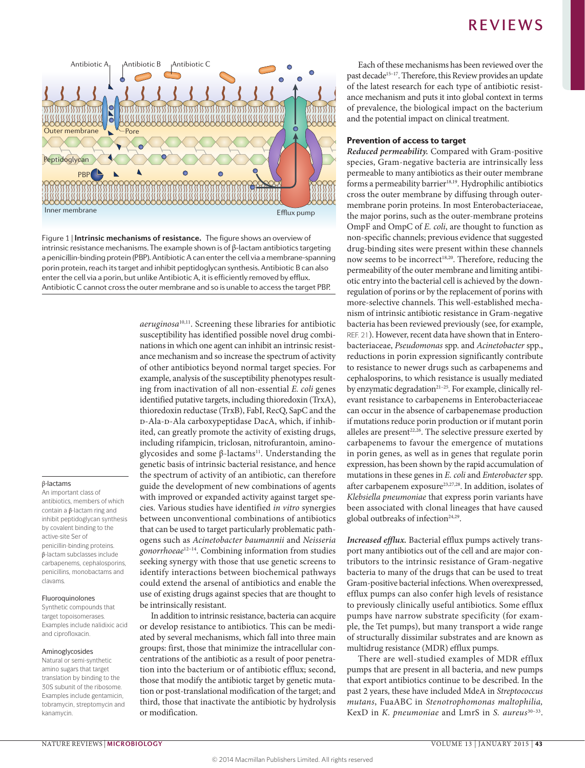

Figure 1 | **Intrinsic mechanisms of resistance.** The figure shows an overview of intrinsic resistance mechanisms. The example shown is of β-lactam antibiotics targeting a penicillin-binding protein (PBP). Antibiotic A can enter the cell via a membrane-spanning porin protein, reach its target and inhibit peptidoglycan synthesis. Antibiotic B can also enter the cell via a porin, but unlike Antibiotic A, it is efficiently removed by efflux. Antibiotic C cannot cross the outer membrane and so is unable to access the target PBP.

### β-lactams

An important class of antibiotics, members of which contain a β-lactam ring and inhibit peptidoglycan synthesis by covalent binding to the active-site Ser of penicillin-binding proteins. β-lactam subclasses include carbapenems, cephalosporins, penicillins, monobactams and clavams.

### Fluoroquinolones

Synthetic compounds that target topoisomerases. Examples include nalidixic acid and ciprofloxacin.

#### Aminoglycosides

Natural or semi-synthetic amino sugars that target translation by binding to the 30S subunit of the ribosome. Examples include gentamicin, tobramycin, streptomycin and kanamycin.

*aeruginosa*10,11. Screening these libraries for antibiotic susceptibility has identified possible novel drug combinations in which one agent can inhibit an intrinsic resistance mechanism and so increase the spectrum of activity of other antibiotics beyond normal target species. For example, analysis of the susceptibility phenotypes resulting from inactivation of all non-essential *E. coli* genes identified putative targets, including thioredoxin (TrxA), thioredoxin reductase (TrxB), FabI, RecQ, SapC and the  $D-Ala-D-Ala$  carboxypeptidase DacA, which, if inhibited, can greatly promote the activity of existing drugs, including rifampicin, triclosan, nitrofurantoin, aminoglycosides and some  $β$ -lactams<sup>11</sup>. Understanding the genetic basis of intrinsic bacterial resistance, and hence the spectrum of activity of an antibiotic, can therefore guide the development of new combinations of agents with improved or expanded activity against target species. Various studies have identified *in vitro* synergies between unconventional combinations of antibiotics that can be used to target particularly problematic pathogens such as *Acinetobacter baumannii* and *Neisseria gonorrhoeae*12–14. Combining information from studies seeking synergy with those that use genetic screens to identify interactions between biochemical pathways could extend the arsenal of antibiotics and enable the use of existing drugs against species that are thought to be intrinsically resistant.

In addition to intrinsic resistance, bacteria can acquire or develop resistance to antibiotics. This can be mediated by several mechanisms, which fall into three main groups: first, those that minimize the intracellular concentrations of the antibiotic as a result of poor penetration into the bacterium or of antibiotic efflux; second, those that modify the antibiotic target by genetic mutation or post-translational modification of the target; and third, those that inactivate the antibiotic by hydrolysis or modification.

Each of these mechanisms has been reviewed over the past decade15–17. Therefore, this Review provides an update of the latest research for each type of antibiotic resistance mechanism and puts it into global context in terms of prevalence, the biological impact on the bacterium and the potential impact on clinical treatment.

### Prevention of access to target

*Reduced permeability.* Compared with Gram-positive species, Gram-negative bacteria are intrinsically less permeable to many antibiotics as their outer membrane forms a permeability barrier<sup>18,19</sup>. Hydrophilic antibiotics cross the outer membrane by diffusing through outermembrane porin proteins. In most Enterobacteriaceae, the major porins, such as the outer-membrane proteins OmpF and OmpC of *E. coli*, are thought to function as non-specific channels; previous evidence that suggested drug-binding sites were present within these channels now seems to be incorrect<sup>18,20</sup>. Therefore, reducing the permeability of the outer membrane and limiting antibiotic entry into the bacterial cell is achieved by the downregulation of porins or by the replacement of porins with more-selective channels. This well-established mechanism of intrinsic antibiotic resistance in Gram-negative bacteria has been reviewed previously (see, for example, REF. 21). However, recent data have shown that in Enterobacteriaceae, *Pseudomonas* spp. and *Acinetobacter* spp., reductions in porin expression significantly contribute to resistance to newer drugs such as carbapenems and cephalosporins, to which resistance is usually mediated by enzymatic degradation<sup>21-25</sup>. For example, clinically relevant resistance to carbapenems in Enterobacteriaceae can occur in the absence of carbapenemase production if mutations reduce porin production or if mutant porin alleles are present<sup>22,26</sup>. The selective pressure exerted by carbapenems to favour the emergence of mutations in porin genes, as well as in genes that regulate porin expression, has been shown by the rapid accumulation of mutations in these genes in *E. coli* and *Enterobacter* spp. after carbapenem exposure<sup>23,27,28</sup>. In addition, isolates of *Klebsiella pneumoniae* that express porin variants have been associated with clonal lineages that have caused global outbreaks of infection<sup>24,29</sup>.

*Increased efflux.* Bacterial efflux pumps actively transport many antibiotics out of the cell and are major contributors to the intrinsic resistance of Gram-negative bacteria to many of the drugs that can be used to treat Gram-positive bacterial infections. When overexpressed, efflux pumps can also confer high levels of resistance to previously clinically useful antibiotics. Some efflux pumps have narrow substrate specificity (for example, the Tet pumps), but many transport a wide range of structurally dissimilar substrates and are known as multidrug resistance (MDR) efflux pumps.

There are well-studied examples of MDR efflux pumps that are present in all bacteria, and new pumps that export antibiotics continue to be described. In the past 2 years, these have included MdeA in *Streptococcus mutans*, FuaABC in *Stenotrophomonas maltophilia,* KexD in *K. pneumoniae* and LmrS in *S. aureus*<sup>30-33</sup>.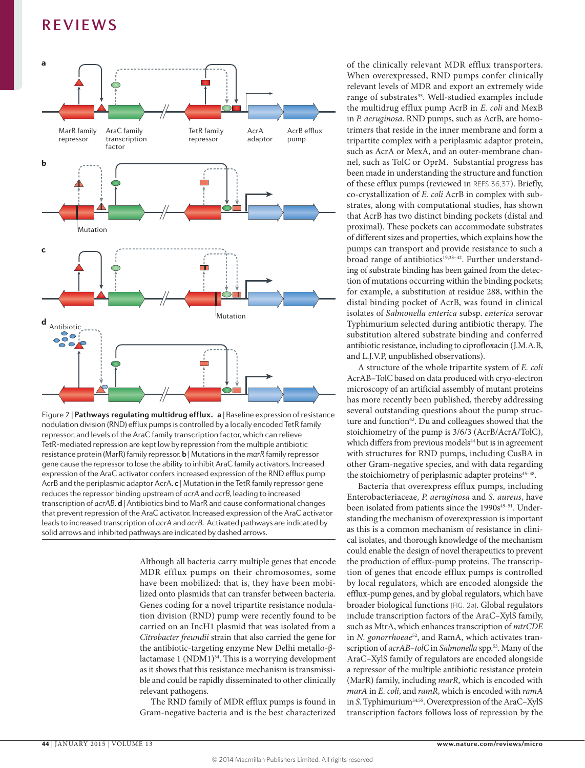

nodulation division (RND) efflux pumps is controlled by a locally encoded TetR family Figure 2 | **Pathways regulating multidrug efflux. a** | Baseline expression of resistance repressor, and levels of the AraC family transcription factor, which can relieve TetR-mediated repression are kept low by repression from the multiple antibiotic resistance protein (MarR) family repressor. **b** | Mutations in the *marR* family repressor gene cause the repressor to lose the ability to inhibit AraC family activators. Increased expression of the AraC activator confers increased expression of the RND efflux pump AcrB and the periplasmic adaptor AcrA. **c** | Mutation in the TetR family repressor gene reduces the repressor binding upstream of *acrA* and *acrB*, leading to increased transcription of *acrAB*. **d** | Antibiotics bind to MarR and cause conformational changes that prevent repression of the AraC activator. Increased expression of the AraC activator leads to increased transcription of *acrA* and *acrB*. Activated pathways are indicated by solid arrows and inhibited pathways are indicated by dashed arrows.

Although all bacteria carry multiple genes that encode MDR efflux pumps on their chromosomes, some have been mobilized: that is, they have been mobilized onto plasmids that can transfer between bacteria. Genes coding for a novel tripartite resistance nodulation division (RND) pump were recently found to be carried on an IncH1 plasmid that was isolated from a *Citrobacter freundii* strain that also carried the gene for the antibiotic-targeting enzyme New Delhi metallo-βlactamase 1 (NDM1)<sup>34</sup>. This is a worrying development as it shows that this resistance mechanism is transmissible and could be rapidly disseminated to other clinically relevant pathogens.

The RND family of MDR efflux pumps is found in Gram-negative bacteria and is the best characterized

of the clinically relevant MDR efflux transporters. When overexpressed, RND pumps confer clinically relevant levels of MDR and export an extremely wide range of substrates<sup>35</sup>. Well-studied examples include the multidrug efflux pump AcrB in *E. coli* and MexB in *P. aeruginosa*. RND pumps, such as AcrB, are homotrimers that reside in the inner membrane and form a tripartite complex with a periplasmic adaptor protein, such as AcrA or MexA, and an outer-membrane channel, such as TolC or OprM. Substantial progress has been made in understanding the structure and function of these efflux pumps (reviewed in REFS 36,37). Briefly, co-crystallization of *E. coli* AcrB in complex with substrates, along with computational studies, has shown that AcrB has two distinct binding pockets (distal and proximal). These pockets can accommodate substrates of different sizes and properties, which explains how the pumps can transport and provide resistance to such a broad range of antibiotics<sup>19,38-42</sup>. Further understanding of substrate binding has been gained from the detection of mutations occurring within the binding pockets; for example, a substitution at residue 288, within the distal binding pocket of AcrB, was found in clinical isolates of *Salmonella enterica* subsp. *enterica* serovar Typhimurium selected during antibiotic therapy. The substitution altered substrate binding and conferred antibiotic resistance, including to ciprofloxacin (J.M.A.B, and L.J.V.P, unpublished observations).

A structure of the whole tripartite system of *E. coli* AcrAB–TolC based on data produced with cryo-electron microscopy of an artificial assembly of mutant proteins has more recently been published, thereby addressing several outstanding questions about the pump structure and function<sup>43</sup>. Du and colleagues showed that the stoichiometry of the pump is 3/6/3 (AcrB/AcrA/TolC), which differs from previous models<sup>44</sup> but is in agreement with structures for RND pumps, including CusBA in other Gram-negative species, and with data regarding the stoichiometry of periplasmic adapter proteins<sup>45-48</sup>.

Bacteria that overexpress efflux pumps, including Enterobacteriaceae, *P. aeruginosa* and *S. aureus*, have been isolated from patients since the 1990s<sup>49-51</sup>. Understanding the mechanism of overexpression is important as this is a common mechanism of resistance in clinical isolates, and thorough knowledge of the mechanism could enable the design of novel therapeutics to prevent the production of efflux-pump proteins. The transcription of genes that encode efflux pumps is controlled by local regulators, which are encoded alongside the efflux-pump genes, and by global regulators, which have broader biological functions (FIG. 2a). Global regulators include transcription factors of the AraC–XylS family, such as MtrA, which enhances transcription of *mtrCDE* in *N. gonorrhoeae*<sup>52</sup>, and RamA, which activates transcription of *acrAB–tolC* in *Salmonella* spp.53. Many of the AraC–XylS family of regulators are encoded alongside a repressor of the multiple antibiotic resistance protein (MarR) family, including *marR*, which is encoded with *marA* in *E. coli*, and *ramR*, which is encoded with *ramA* in *S*. Typhimurium54,55. Overexpression of the AraC–XylS transcription factors follows loss of repression by the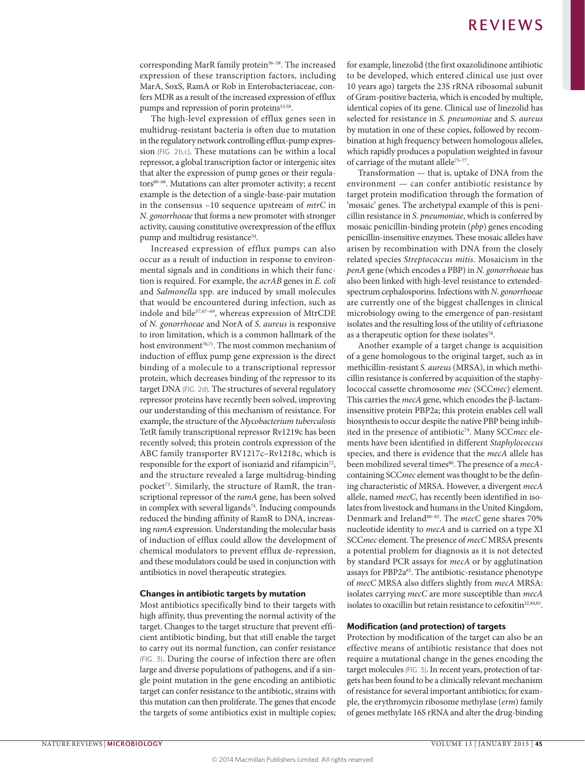corresponding MarR family protein<sup>56–58</sup>. The increased expression of these transcription factors, including MarA, SoxS, RamA or Rob in Enterobacteriaceae, confers MDR as a result of the increased expression of efflux pumps and repression of porin proteins<sup>53,59</sup>.

The high-level expression of efflux genes seen in multidrug-resistant bacteria is often due to mutation in the regulatory network controlling efflux-pump expression (FIG. 2b,c). These mutations can be within a local repressor, a global transcription factor or intergenic sites that alter the expression of pump genes or their regulators60–66. Mutations can alter promoter activity; a recent example is the detection of a single-base-pair mutation in the consensus –10 sequence upstream of *mtrC* in *N. gonorrhoeae* that forms a new promoter with stronger activity, causing constitutive overexpression of the efflux pump and multidrug resistance<sup>54</sup>.

Increased expression of efflux pumps can also occur as a result of induction in response to environmental signals and in conditions in which their function is required. For example, the *acrAB* genes in *E. coli* and *Salmonella* spp. are induced by small molecules that would be encountered during infection, such as indole and bile57,67–69, whereas expression of MtrCDE of *N. gonorrhoeae* and NorA of *S. aureus* is responsive to iron limitation, which is a common hallmark of the host environment<sup>70,71</sup>. The most common mechanism of induction of efflux pump gene expression is the direct binding of a molecule to a transcriptional repressor protein, which decreases binding of the repressor to its target DNA (FIG. 2d). The structures of several regulatory repressor proteins have recently been solved, improving our understanding of this mechanism of resistance. For example, the structure of the *Mycobacterium tuberculosis* TetR family transcriptional repressor Rv1219c has been recently solved; this protein controls expression of the ABC family transporter RV1217c–Rv1218c, which is responsible for the export of isoniazid and rifampicin<sup>72</sup>, and the structure revealed a large multidrug-binding pocket<sup>73</sup>. Similarly, the structure of RamR, the transcriptional repressor of the *ramA* gene, has been solved in complex with several ligands<sup>74</sup>. Inducing compounds reduced the binding affinity of RamR to DNA, increasing *ramA* expression. Understanding the molecular basis of induction of efflux could allow the development of chemical modulators to prevent efflux de-repression, and these modulators could be used in conjunction with antibiotics in novel therapeutic strategies.

### Changes in antibiotic targets by mutation

Most antibiotics specifically bind to their targets with high affinity, thus preventing the normal activity of the target. Changes to the target structure that prevent efficient antibiotic binding, but that still enable the target to carry out its normal function, can confer resistance (FIG. 3). During the course of infection there are often large and diverse populations of pathogens, and if a single point mutation in the gene encoding an antibiotic target can confer resistance to the antibiotic, strains with this mutation can then proliferate. The genes that encode the targets of some antibiotics exist in multiple copies; for example, linezolid (the first oxazolidinone antibiotic to be developed, which entered clinical use just over 10 years ago) targets the 23S rRNA ribosomal subunit of Gram-positive bacteria, which is encoded by multiple, identical copies of its gene. Clinical use of linezolid has selected for resistance in *S. pneumoniae* and *S. aureus* by mutation in one of these copies, followed by recombination at high frequency between homologous alleles, which rapidly produces a population weighted in favour of carriage of the mutant allele<sup>75-77</sup>.

Transformation — that is, uptake of DNA from the environment — can confer antibiotic resistance by target protein modification through the formation of 'mosaic' genes. The archetypal example of this is penicillin resistance in *S. pneumoniae*, which is conferred by mosaic penicillin-binding protein (*pbp*) genes encoding penicillin-insensitive enzymes. These mosaic alleles have arisen by recombination with DNA from the closely related species *Streptococcus mitis*. Mosaicism in the *penA* gene (which encodes a PBP) in *N. gonorrhoeae* has also been linked with high-level resistance to extendedspectrum cephalosporins. Infections with *N. gonorrhoeae* are currently one of the biggest challenges in clinical microbiology owing to the emergence of pan-resistant isolates and the resulting loss of the utility of ceftriaxone as a therapeutic option for these isolates<sup>78</sup>.

Another example of a target change is acquisition of a gene homologous to the original target, such as in methicillin-resistant *S. aureus* (MRSA), in which methicillin resistance is conferred by acquisition of the staphylococcal cassette chromosome *mec* (SCC*mec*) element. This carries the *mecA* gene, which encodes the β-lactaminsensitive protein PBP2a; this protein enables cell wall biosynthesis to occur despite the native PBP being inhibited in the presence of antibiotic<sup>79</sup>. Many SCCmec elements have been identified in different *Staphylococcus* species, and there is evidence that the *mecA* allele has been mobilized several times<sup>80</sup>. The presence of a mecAcontaining SCC*mec* element was thought to be the defining characteristic of MRSA. However, a divergent *mecA* allele, named *mecC*, has recently been identified in isolates from livestock and humans in the United Kingdom, Denmark and Ireland<sup>80-82</sup>. The mecC gene shares 70% nucleotide identity to *mecA* and is carried on a type XI SCC*mec* element. The presence of *mecC* MRSA presents a potential problem for diagnosis as it is not detected by standard PCR assays for *mecA* or by agglutination assays for PBP2a<sup>83</sup>. The antibiotic-resistance phenotype of *mecC* MRSA also differs slightly from *mecA* MRSA: isolates carrying *mecC* are more susceptible than *mecA* isolates to oxacillin but retain resistance to cefoxitin<sup>32,84,85</sup>.

### Modification (and protection) of targets

Protection by modification of the target can also be an effective means of antibiotic resistance that does not require a mutational change in the genes encoding the target molecules (FIG. 3). In recent years, protection of targets has been found to be a clinically relevant mechanism of resistance for several important antibiotics; for example, the erythromycin ribosome methylase (*erm*) family of genes methylate 16S rRNA and alter the drug-binding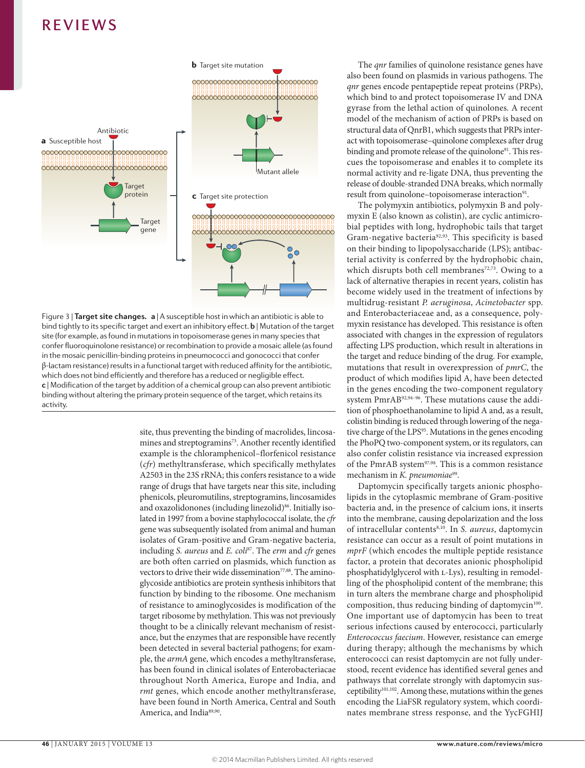

bind tightly to its specific target and exert an inhibitory effect. **b** | Mutation of the target Figure 3 | **Target site changes. a** | A susceptible host in which an antibiotic is able to site (for example, as found in mutations in topoisomerase genes in many species that confer fluoroquinolone resistance) or recombination to provide a mosaic allele (as found in the mosaic penicillin-binding proteins in pneumococci and gonococci that confer β-lactam resistance) results in a functional target with reduced affinity for the antibiotic, which does not bind efficiently and therefore has a reduced or negligible effect. **c** | Modification of the target by addition of a chemical group can also prevent antibiotic binding without altering the primary protein sequence of the target, which retains its activity.

site, thus preventing the binding of macrolides, lincosamines and streptogramins<sup>73</sup>. Another recently identified example is the chloramphenicol–florfenicol resistance (*cfr*) methyltransferase, which specifically methylates A2503 in the 23S rRNA; this confers resistance to a wide range of drugs that have targets near this site, including phenicols, pleuromutilins, streptogramins, lincosamides and oxazolidonones (including linezolid)<sup>86</sup>. Initially isolated in 1997 from a bovine staphylococcal isolate, the *cfr* gene was subsequently isolated from animal and human isolates of Gram-positive and Gram-negative bacteria, including *S. aureus* and *E. coli*87. The *erm* and *cfr* genes are both often carried on plasmids, which function as vectors to drive their wide dissemination<sup>77,88</sup>. The aminoglycoside antibiotics are protein synthesis inhibitors that function by binding to the ribosome. One mechanism of resistance to aminoglycosides is modification of the target ribosome by methylation. This was not previously thought to be a clinically relevant mechanism of resistance, but the enzymes that are responsible have recently been detected in several bacterial pathogens; for example, the *armA* gene, which encodes a methyltransferase, has been found in clinical isolates of Enterobacteriacae throughout North America, Europe and India, and *rmt* genes, which encode another methyltransferase, have been found in North America, Central and South America, and India<sup>89,90</sup>

The *qnr* families of quinolone resistance genes have also been found on plasmids in various pathogens. The *qnr* genes encode pentapeptide repeat proteins (PRPs), which bind to and protect topoisomerase IV and DNA gyrase from the lethal action of quinolones. A recent model of the mechanism of action of PRPs is based on structural data of QnrB1, which suggests that PRPs interact with topoisomerase–quinolone complexes after drug binding and promote release of the quinolone<sup>91</sup>. This rescues the topoisomerase and enables it to complete its normal activity and re-ligate DNA, thus preventing the release of double-stranded DNA breaks, which normally result from quinolone–topoisomerase interaction<sup>91</sup>.

The polymyxin antibiotics, polymyxin B and polymyxin E (also known as colistin), are cyclic antimicrobial peptides with long, hydrophobic tails that target Gram-negative bacteria92,93. This specificity is based on their binding to lipopolysaccharide (LPS); antibacterial activity is conferred by the hydrophobic chain, which disrupts both cell membranes<sup>72,73</sup>. Owing to a lack of alternative therapies in recent years, colistin has become widely used in the treatment of infections by multidrug-resistant *P. aeruginosa*, *Acinetobacter* spp. and Enterobacteriaceae and, as a consequence, polymyxin resistance has developed. This resistance is often associated with changes in the expression of regulators affecting LPS production, which result in alterations in the target and reduce binding of the drug. For example, mutations that result in overexpression of *pmrC*, the product of which modifies lipid A, have been detected in the genes encoding the two-component regulatory system PmrAB92,94–96. These mutations cause the addition of phosphoethanolamine to lipid A and, as a result, colistin binding is reduced through lowering of the negative charge of the LPS<sup>95</sup>. Mutations in the genes encoding the PhoPQ two-component system, or its regulators, can also confer colistin resistance via increased expression of the PmrAB system<sup>97,98</sup>. This is a common resistance mechanism in *K. pneumoniae*<sup>99</sup>.

Daptomycin specifically targets anionic phospholipids in the cytoplasmic membrane of Gram-positive bacteria and, in the presence of calcium ions, it inserts into the membrane, causing depolarization and the loss of intracellular contents8,10. In *S. aureus*, daptomycin resistance can occur as a result of point mutations in *mprF* (which encodes the multiple peptide resistance factor, a protein that decorates anionic phospholipid phosphatidylglycerol with L-Lys), resulting in remodelling of the phospholipid content of the membrane; this in turn alters the membrane charge and phospholipid composition, thus reducing binding of daptomycin<sup>100</sup>. One important use of daptomycin has been to treat serious infections caused by enterococci, particularly *Enterococcus faecium*. However, resistance can emerge during therapy; although the mechanisms by which enterococci can resist daptomycin are not fully understood, recent evidence has identified several genes and pathways that correlate strongly with daptomycin susceptibility<sup>101,102</sup>. Among these, mutations within the genes encoding the LiaFSR regulatory system, which coordinates membrane stress response, and the YycFGHIJ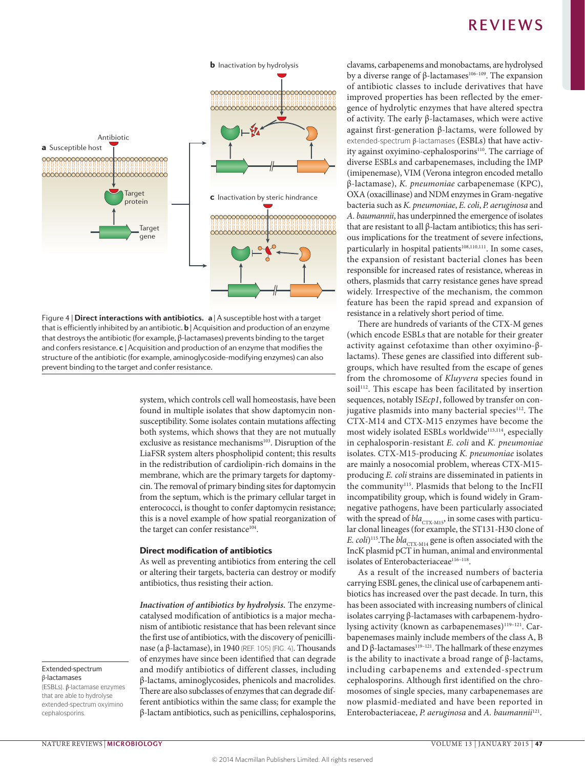

that is efficiently inhibited by an antibiotic. **b** | Acquisition and production of an enzyme Figure 4 | **Direct interactions with antibiotics. a** | A susceptible host with a target that destroys the antibiotic (for example, β-lactamases) prevents binding to the target and confers resistance. **c** | Acquisition and production of an enzyme that modifies the structure of the antibiotic (for example, aminoglycoside-modifying enzymes) can also prevent binding to the target and confer resistance.

system, which controls cell wall homeostasis, have been found in multiple isolates that show daptomycin nonsusceptibility. Some isolates contain mutations affecting both systems, which shows that they are not mutually exclusive as resistance mechanisms<sup>103</sup>. Disruption of the LiaFSR system alters phospholipid content; this results in the redistribution of cardiolipin-rich domains in the membrane, which are the primary targets for daptomycin. The removal of primary binding sites for daptomycin from the septum, which is the primary cellular target in enterococci, is thought to confer daptomycin resistance; this is a novel example of how spatial reorganization of the target can confer resistance<sup>104</sup>.

### Direct modification of antibiotics

As well as preventing antibiotics from entering the cell or altering their targets, bacteria can destroy or modify antibiotics, thus resisting their action.

*Inactivation of antibiotics by hydrolysis.* The enzymecatalysed modification of antibiotics is a major mechanism of antibiotic resistance that has been relevant since the first use of antibiotics, with the discovery of penicillinase (a β-lactamase), in 1940 (REF. 105) (FIG. 4). Thousands of enzymes have since been identified that can degrade and modify antibiotics of different classes, including β-lactams, aminoglycosides, phenicols and macrolides. There are also subclasses of enzymes that can degrade different antibiotics within the same class; for example the β-lactam antibiotics, such as penicillins, cephalosporins,

clavams, carbapenems and monobactams, are hydrolysed by a diverse range of β-lactamases<sup>106-109</sup>. The expansion of antibiotic classes to include derivatives that have improved properties has been reflected by the emergence of hydrolytic enzymes that have altered spectra of activity. The early β-lactamases, which were active against first-generation β-lactams, were followed by extended-spectrum β-lactamases (ESBLs) that have activity against oxyimino-cephalosporins<sup>110</sup>. The carriage of diverse ESBLs and carbapenemases, including the IMP (imipenemase), VIM (Verona integron encoded metallo β-lactamase), *K. pneumoniae* carbapenemase (KPC), OXA (oxacillinase) and NDM enzymes in Gram-negative bacteria such as *K. pneumoniae*, *E. coli*, *P. aeruginosa* and *A. baumannii*, has underpinned the emergence of isolates that are resistant to all β-lactam antibiotics; this has serious implications for the treatment of severe infections, particularly in hospital patients<sup>108,110,111</sup>. In some cases, the expansion of resistant bacterial clones has been responsible for increased rates of resistance, whereas in others, plasmids that carry resistance genes have spread widely. Irrespective of the mechanism, the common feature has been the rapid spread and expansion of resistance in a relatively short period of time.

There are hundreds of variants of the CTX-M genes (which encode ESBLs that are notable for their greater activity against cefotaxime than other oxyimino-βlactams). These genes are classified into different subgroups, which have resulted from the escape of genes from the chromosome of *Kluyvera* species found in soil<sup>112</sup>. This escape has been facilitated by insertion sequences, notably IS*Ecp1*, followed by transfer on conjugative plasmids into many bacterial species<sup>112</sup>. The CTX-M14 and CTX-M15 enzymes have become the most widely isolated ESBLs worldwide<sup>113,114</sup>, especially in cephalosporin-resistant *E. coli* and *K. pneumoniae*  isolates. CTX-M15-producing *K. pneumoniae* isolates are mainly a nosocomial problem, whereas CTX-M15 producing *E. coli* strains are disseminated in patients in the community<sup>115</sup>. Plasmids that belong to the IncFII incompatibility group, which is found widely in Gramnegative pathogens, have been particularly associated with the spread of  $bla_{\rm CTX\text{-}M15}$  in some cases with particular clonal lineages (for example, the ST131-H30 clone of *E. coli*)<sup>115</sup>. The *bla*<sub>CTX-M14</sub> gene is often associated with the IncK plasmid pCT in human, animal and environmental isolates of Enterobacteriaceae<sup>116-118</sup>.

As a result of the increased numbers of bacteria carrying ESBL genes, the clinical use of carbapenem antibiotics has increased over the past decade. In turn, this has been associated with increasing numbers of clinical isolates carrying β-lactamases with carbapenem-hydrolysing activity (known as carbapenemases)<sup>119-121</sup>. Carbapenemases mainly include members of the class A, B and D  $\beta$ -lactamases<sup>119-121</sup>. The hallmark of these enzymes is the ability to inactivate a broad range of β-lactams, including carbapenems and extended-spectrum cephalosporins. Although first identified on the chromosomes of single species, many carbapenemases are now plasmid-mediated and have been reported in Enterobacteriaceae, *P. aeruginosa* and *A. baumannii*121.

### Extended-spectrum β-lactamases

(ESBLs). β-lactamase enzymes that are able to hydrolyse extended-spectrum oxyimino cephalosporins.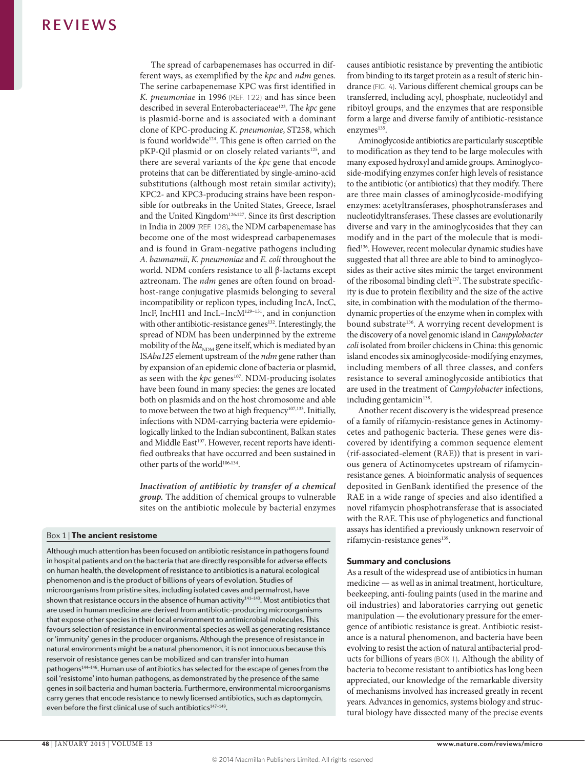The spread of carbapenemases has occurred in different ways, as exemplified by the *kpc* and *ndm* genes. The serine carbapenemase KPC was first identified in *K. pneumoniae* in 1996 (REF. 122) and has since been described in several Enterobacteriaceae123. The *kpc* gene is plasmid-borne and is associated with a dominant clone of KPC-producing *K. pneumoniae*, ST258, which is found worldwide<sup>124</sup>. This gene is often carried on the pKP-Qil plasmid or on closely related variants<sup>125</sup>, and there are several variants of the *kpc* gene that encode proteins that can be differentiated by single-amino-acid substitutions (although most retain similar activity); KPC2- and KPC3-producing strains have been responsible for outbreaks in the United States, Greece, Israel and the United Kingdom<sup>126,127</sup>. Since its first description in India in 2009 (REF. 128), the NDM carbapenemase has become one of the most widespread carbapenemases and is found in Gram-negative pathogens including *A. baumannii*, *K. pneumoniae* and *E. coli* throughout the world. NDM confers resistance to all β-lactams except aztreonam. The *ndm* genes are often found on broadhost-range conjugative plasmids belonging to several incompatibility or replicon types, including IncA, IncC, IncF, IncHI1 and IncL–IncM129–131, and in conjunction with other antibiotic-resistance genes<sup>132</sup>. Interestingly, the spread of NDM has been underpinned by the extreme mobility of the *bla*<sub>NDM</sub> gene itself, which is mediated by an IS*Aba125* element upstream of the *ndm* gene rather than by expansion of an epidemic clone of bacteria or plasmid, as seen with the *kpc* genes<sup>107</sup>. NDM-producing isolates have been found in many species: the genes are located both on plasmids and on the host chromosome and able to move between the two at high frequency<sup>107,133</sup>. Initially, infections with NDM-carrying bacteria were epidemiologically linked to the Indian subcontinent, Balkan states and Middle East<sup>107</sup>. However, recent reports have identified outbreaks that have occurred and been sustained in other parts of the world<sup>106,134</sup>.

*Inactivation of antibiotic by transfer of a chemical group.* The addition of chemical groups to vulnerable sites on the antibiotic molecule by bacterial enzymes

# Box 1 | The ancient resistome

Although much attention has been focused on antibiotic resistance in pathogens found in hospital patients and on the bacteria that are directly responsible for adverse effects on human health, the development of resistance to antibiotics is a natural ecological phenomenon and is the product of billions of years of evolution. Studies of microorganisms from pristine sites, including isolated caves and permafrost, have shown that resistance occurs in the absence of human activity $141-143$ . Most antibiotics that are used in human medicine are derived from antibiotic-producing microorganisms that expose other species in their local environment to antimicrobial molecules. This favours selection of resistance in environmental species as well as generating resistance or 'immunity' genes in the producer organisms. Although the presence of resistance in natural environments might be a natural phenomenon, it is not innocuous because this reservoir of resistance genes can be mobilized and can transfer into human pathogens<sup>144-146</sup>. Human use of antibiotics has selected for the escape of genes from the soil 'resistome' into human pathogens, as demonstrated by the presence of the same genes in soil bacteria and human bacteria. Furthermore, environmental microorganisms carry genes that encode resistance to newly licensed antibiotics, such as daptomycin, even before the first clinical use of such antibiotics $147-149$ .

causes antibiotic resistance by preventing the antibiotic from binding to its target protein as a result of steric hindrance (FIG. 4). Various different chemical groups can be transferred, including acyl, phosphate, nucleotidyl and ribitoyl groups, and the enzymes that are responsible form a large and diverse family of antibiotic-resistance enzymes<sup>135</sup>.

Aminoglycoside antibiotics are particularly susceptible to modification as they tend to be large molecules with many exposed hydroxyl and amide groups. Aminoglycoside-modifying enzymes confer high levels of resistance to the antibiotic (or antibiotics) that they modify. There are three main classes of aminoglycoside-modifying enzymes: acetyltransferases, phosphotransferases and nucleotidyltransferases. These classes are evolutionarily diverse and vary in the aminoglycosides that they can modify and in the part of the molecule that is modified<sup>136</sup>. However, recent molecular dynamic studies have suggested that all three are able to bind to aminoglycosides as their active sites mimic the target environment of the ribosomal binding cleft<sup>137</sup>. The substrate specificity is due to protein flexibility and the size of the active site, in combination with the modulation of the thermodynamic properties of the enzyme when in complex with bound substrate<sup>136</sup>. A worrying recent development is the discovery of a novel genomic island in *Campylobacter coli* isolated from broiler chickens in China: this genomic island encodes six aminoglycoside-modifying enzymes, including members of all three classes, and confers resistance to several aminoglycoside antibiotics that are used in the treatment of *Campylobacter* infections, including gentamicin $138$ .

Another recent discovery is the widespread presence of a family of rifamycin-resistance genes in Actinomycetes and pathogenic bacteria. These genes were discovered by identifying a common sequence element (rif-associated-element (RAE)) that is present in various genera of Actinomycetes upstream of rifamycinresistance genes. A bioinformatic analysis of sequences deposited in GenBank identified the presence of the RAE in a wide range of species and also identified a novel rifamycin phosphotransferase that is associated with the RAE. This use of phylogenetics and functional assays has identified a previously unknown reservoir of rifamycin-resistance genes<sup>139</sup>.

## Summary and conclusions

As a result of the widespread use of antibiotics in human medicine — as well as in animal treatment, horticulture, beekeeping, anti-fouling paints (used in the marine and oil industries) and laboratories carrying out genetic manipulation — the evolutionary pressure for the emergence of antibiotic resistance is great. Antibiotic resistance is a natural phenomenon, and bacteria have been evolving to resist the action of natural antibacterial products for billions of years (BOX 1). Although the ability of bacteria to become resistant to antibiotics has long been appreciated, our knowledge of the remarkable diversity of mechanisms involved has increased greatly in recent years. Advances in genomics, systems biology and structural biology have dissected many of the precise events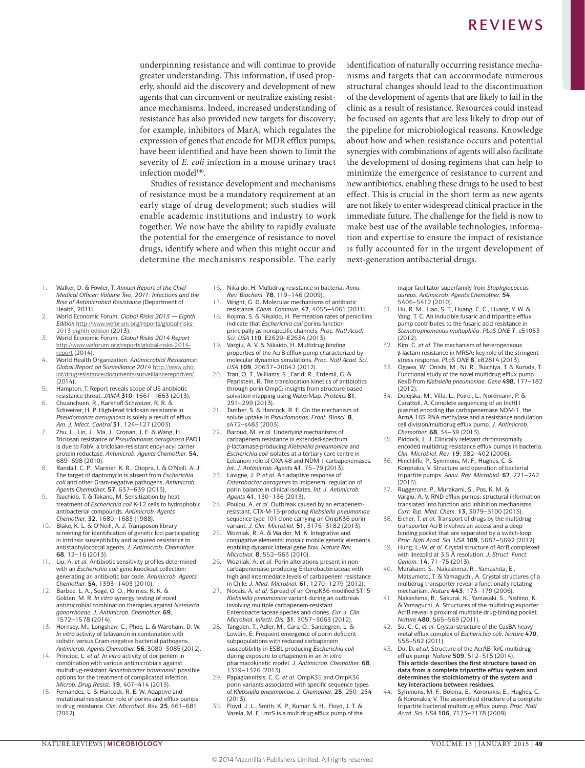underpinning resistance and will continue to provide greater understanding. This information, if used properly, should aid the discovery and development of new agents that can circumvent or neutralize existing resistance mechanisms. Indeed, increased understanding of resistance has also provided new targets for discovery; for example, inhibitors of MarA, which regulates the expression of genes that encode for MDR efflux pumps, have been identified and have been shown to limit the severity of *E. coli* infection in a mouse urinary tract infection model<sup>140</sup>.

Studies of resistance development and mechanisms of resistance must be a mandatory requirement at an early stage of drug development; such studies will enable academic institutions and industry to work together. We now have the ability to rapidly evaluate the potential for the emergence of resistance to novel drugs, identify where and when this might occur and determine the mechanisms responsible. The early identification of naturally occurring resistance mechanisms and targets that can accommodate numerous structural changes should lead to the discontinuation of the development of agents that are likely to fail in the clinic as a result of resistance. Resources could instead be focused on agents that are less likely to drop out of the pipeline for microbiological reasons. Knowledge about how and when resistance occurs and potential synergies with combinations of agents will also facilitate the development of dosing regimens that can help to minimize the emergence of resistance to current and new antibiotics, enabling these drugs to be used to best effect. This is crucial in the short term as new agents are not likely to enter widespread clinical practice in the immediate future. The challenge for the field is now to make best use of the available technologies, information and expertise to ensure the impact of resistance is fully accounted for in the urgent development of next-generation antibacterial drugs.

- 1. Walker, D. & Fowler, T. *Annual Report of the Chief Medical Officer: Volume Two, 2011: Infections and the Rise of Antimicrobial Resistance* (Department of Health, 2011).
- 2. World Economic Forum. *Global Risks 2013 Eighth Edition* [http://www.weforum.org/reports/global-risks-](http://www.weforum.org/reports/global-risks-2013-eighth-edition)[2013-eighth-edition](http://www.weforum.org/reports/global-risks-2013-eighth-edition) (2013).
- 3. World Economic Forum. *Global Risks 2014 Report* [http://www.weforum.org/reports/global-risks-2014](http://www.weforum.org/reports/global-risks-2014-report) [report](http://www.weforum.org/reports/global-risks-2014-report) (2014).
- 4. World Health Organization. *Antimicrobial Resistance: Global Report on Surveillance 2014* [http://www.who.](http://www.who.int/drugresistance/documents/surveillancereport/en/) [int/drugresistance/documents/surveillancereport/en/](http://www.who.int/drugresistance/documents/surveillancereport/en/) (2014).
- 5. Hampton, T. Report reveals scope of US antibiotic resistance threat. *JAMA* **310**, 1661–1663 (2013).
- 6. Chuanchuen, R., Karkhoff-Schweizer, R. R. & Schweizer, H. P. High-level triclosan resistance in *Pseudomonas aeruginosa* is solely a result of efflux. *Am. J. Infect. Control* **31**, 124–127 (2003).
- 7. Zhu, L., Lin, J., Ma, J., Cronan, J. E. & Wang, H. Triclosan resistance of *Pseudomonas aeruginosa* PAO1 is due to FabV, a triclosan-resistant enoyl-acyl carrier protein reductase. *Antimicrob. Agents Chemother.* **54**, 689–698 (2010).
- 8. Randall, C. P., Mariner, K. R., Chopra, I. & O'Neill, A. J. The target of daptomycin is absent from *Escherichia coli* and other Gram-negative pathogens. *Antimicrob. Agents Chemother.* **57**, 637–639 (2013).
- 9. Tsuchido, T. & Takano, M. Sensitization by heat treatment of *Escherichia coli* K-12 cells to hydrophobic antibacterial compounds. *Antimicrob. Agents Chemother.* **32**, 1680–1683 (1988).
- 10. Blake, K. L. & O'Neill, A. J. Transposon library screening for identification of genetic loci participating in intrinsic susceptibility and acquired resistance to antistaphylococcal agents. *J. Antimicrob. Chemother.*  **68**, 12–16 (2013).
- 11. Liu, A. *et al.* Antibiotic sensitivity profiles determined with an *Escherichia coli* gene knockout collection: generating an antibiotic bar code. *Antimicrob. Agents Chemother.* **54**, 1393–1403 (2010).
- 12. Barbee, L. A., Soge, O. O., Holmes, K. K. & Golden, M. R. *In vitro* synergy testing of novel antimicrobial combination therapies against *Neisseria gonorrhoeae. J. Antimicrob. Chemother.* **69**, 1572–1578 (2014).
- 13. Hornsey, M., Longshaw, C., Phee, L. & Wareham, D. W. *In vitro* activity of telavancin in combination with colistin versus Gram-negative bacterial pathogens. *Antimicrob. Agents Chemother.* **56**, 3080–3085 (2012).
- 14. Principe, L. *et al. In vitro* activity of doripenem in combination with various antimicrobials against multidrug-resistant *Acinetobacter baumannii*: possible options for the treatment of complicated infection. *Microb. Drug Resist.* **19**, 407–414 (2013).
- 15. Fernández, L. & Hancock, R. E. W. Adaptive and mutational resistance: role of porins and efflux pumps in drug resistance. *Clin. Microbiol. Rev.* **25**, 661–681  $(2012)$
- 16. Nikaido, H. Multidrug resistance in bacteria. *Annu. Rev. Biochem.* **78**, 119–146 (2009).
- 17. Wright, G. D. Molecular mechanisms of antibiotic resistance. *Chem. Commun.* **47**, 4055–4061 (2011).
- 18. Kojima, S. & Nikaido, H. Permeation rates of penicillins indicate that *Escherichia coli* porins function principally as nonspecific channels. *Proc. Natl Acad. Sci. USA* **110**, E2629–E2634 (2013).
- Vargiu, A. V. & Nikaido, H. Multidrug binding properties of the AcrB efflux pump characterized by molecular dynamics simulations. *Proc. Natl Acad. Sci. USA* **109**, 20637–20642 (2012).
- 20. Tran, Q. T., Williams, S., Farid, R., Erdemli, G. & Pearlstein, R. The translocation kinetics of antibiotics through porin OmpC: insights from structure-based solvation mapping using WaterMap. *Proteins* **81**, 291–299 (2013).
- 21. Tamber, S. & Hancock, R. E. On the mechanism of solute uptake in *Pseudomonas*. *Front. Biosci.* **8**, s472–s483 (2003).
- 22. Baroud, M. *et al.* Underlying mechanisms of carbapenem resistance in extended-spectrum β-lactamase-producing *Klebsiella pneumoniae* and *Escherichia coli* isolates at a tertiary care centre in Lebanon: role of OXA-48 and NDM-1 carbapenemases. *Int. J. Antimicrob. Agents* **41**, 75–79 (2013).
- 23. Lavigne, J. P. *et al.* An adaptive response of *Enterobacter aerogenes* to imipenem: regulation of porin balance in clinical isolates. *Int. J. Antimicrob. Agents* **41**, 130–136 (2013).
- 24. Poulou, A. *et al.* Outbreak caused by an ertapenemresistant, CTX-M-15-producing *Klebsiella pneumoniae* sequence type 101 clone carrying an OmpK36 porin variant. *J. Clin. Microbiol.* **51**, 3176–3182 (2013).
- 25. Wozniak, R. A. & Waldor, M. K. Integrative and conjugative elements: mosaic mobile genetic elements enabling dynamic lateral gene flow. *Nature Rev. Microbiol.* **8**, 552–563 (2010).
- 26. Wozniak, A. *et al.* Porin alterations present in noncarbapenemase-producing Enterobacteriaceae with high and intermediate levels of carbapenem resistance in Chile. *J. Med. Microbiol.* **61**, 1270–1279 (2012).
- 27. Novais, Â. *et al.* Spread of an OmpK36-modified ST15 *Klebsiella pneumoniae* variant during an outbreak involving multiple carbapenem-resistant Enterobacteriaceae species and clones. *Eur. J. Clin. Microbiol. Infecti. Dis.* **31**, 3057–3063 (2012).
- 28. Tangden, T., Adler, M., Cars, O., Sandegren, L. & Lowdin, E. Frequent emergence of porin-deficient subpopulations with reduced carbapenem susceptibility in ESBL-producing *Escherichia coli* during exposure to ertapenem in an *in vitro* pharmacokinetic model. *J. Antimicrob. Chemother.* **68**, 1319–1326 (2013).
- 29. Papagiannitsis, C. C. *et al.* OmpK35 and OmpK36 porin variants associated with specific sequence types of *Klebsiella pneumoniae*. *J. Chemother.* **25**, 250–254 (2013).
- 30. Floyd, J. L., Smith, K. P., Kumar, S. H., Floyd, J. T. & Varela, M. F. LmrS is a multidrug efflux pump of the

major facilitator superfamily from *Staphylococcus aureus. Antimicrob. Agents Chemother.* **54**, 5406–5412 (2010).

- 31. Hu, R. M., Liao, S. T., Huang, C. C., Huang, Y. W. & Yang, T. C. An inducible fusaric acid tripartite efflux pump contributes to the fusaric acid resistance in *Stenotrophomonas maltophilia*. *PLoS ONE* **7**, e51053 (2012).
- 32. Kim, C. *et al.* The mechanism of heterogeneous β-lactam resistance in MRSA: key role of the stringent stress response. *PLoS ONE* **8**, e82814 (2013).
- 33. Ogawa, W., Onishi, M., Ni, R., Tsuchiya, T. & Kuroda, T. Functional study of the novel multidrug efflux pump KexD from *Klebsiella pneumoniae*. *Gene* **498**, 177–182 (2012).
- 34. Dolejska, M., Villa, L., Poirel, L., Nordmann, P. & Carattoli, A. Complete sequencing of an IncHI1 plasmid encoding the carbapenemase NDM-1, the ArmA 16S RNA methylase and a resistance nodulation cell division/multidrug efflux pump. *J. Antimicrob. Chemother.* **68**, 34–39 (2013).
- 35. Piddock, L. J. Clinically relevant chromosomally encoded multidrug resistance efflux pumps in bacteria. *Clin. Microbiol. Rev.* **19**, 382–402 (2006).
- 36. Hinchliffe, P., Symmons, M. F., Hughes, C. & Koronakis, V. Structure and operation of bacterial tripartite pumps. *Annu. Rev. Microbiol.* **67**, 221–242 (2013).
- 37. Ruggerone, P., Murakami, S., Pos, K. M. & Vargiu, A. V. RND efflux pumps: structural information translated into function and inhibition mechanisms. *Curr. Top. Med. Chem.* **13**, 3079–3100 (2013).
- 38. Eicher, T. *et al.* Transport of drugs by the multidrug transporter AcrB involves an access and a deep binding pocket that are separated by a switch-loop. *Proc. Natl Acad. Sci. USA* **109**, 5687–5692 (2012).
- 39. Hung, L.-W. *et al.* Crystal structure of AcrB complexed with linezolid at 3.5 Å resolution. *J. Struct. Funct. Genom.* **14**, 71–75 (2013).
- 40. Murakami, S., Nakashima, R., Yamashita, E., Matsumoto, T. & Yamaguchi, A. Crystal structures of a multidrug transporter reveal a functionally rotating mechanism. *Nature* **443**, 173–179 (2006).
- 41. Nakashima, R., Sakurai, K., Yamasaki, S., Nishino, K. & Yamaguchi, A. Structures of the multidrug exporter AcrB reveal a proximal multisite drug-binding pocket. *Nature* **480**, 565–569 (2011).
- 42. Su, C.-C. *et al.* Crystal structure of the CusBA heavymetal efflux complex of *Escherichia coli. Nature* **470**, 558–562 (2011).
- 43. Du, D. *et al.* Structure of the AcrAB-TolC multidrug efflux pump. *Nature* **509**, 512–515 (2014). **This article describes the first structure based on data from a complete tripartite efflux system and determines the stoichiometry of the system and key interactions between residues.**
- 44. Symmons, M. F., Bokma, E., Koronakis, E., Hughes, C. & Koronakis, V. The assembled structure of a complete tripartite bacterial multidrug efflux pump. *Proc. Natl Acad. Sci. USA* **106**, 7173–7178 (2009).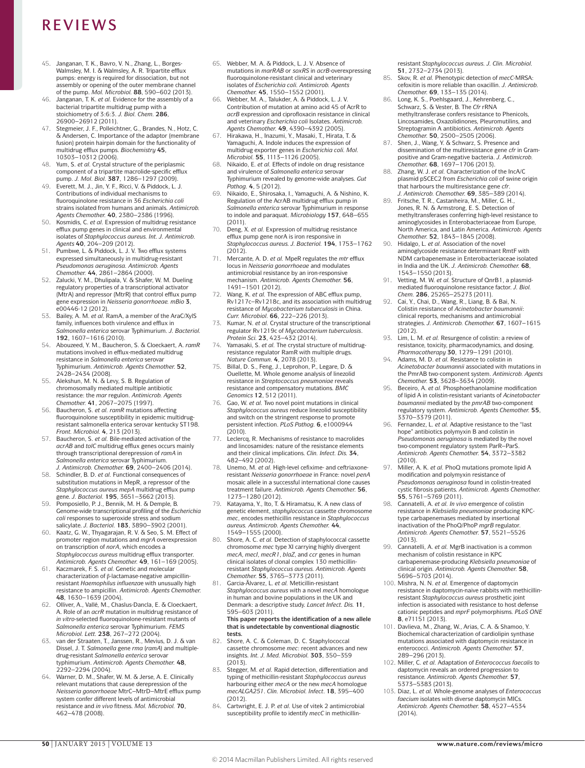- 45. Janganan, T. K., Bavro, V. N., Zhang, L., Borges-Walmsley, M. I. & Walmsley, A. R. Tripartite efflux pumps: energy is required for dissociation, but not assembly or opening of the outer membrane channel of the pump. *Mol. Microbiol.* **88**, 590–602 (2013).
- 46. Janganan, T. K. *et al.* Evidence for the assembly of a bacterial tripartite multidrug pump with a stoichiometry of 3:6:3. *J. Biol. Chem.* **286**, 26900–26912 (2011).
- 47. Stegmeier, J. F., Polleichtner, G., Brandes, N., Hotz, C. & Andersen, C. Importance of the adaptor (membrane fusion) protein hairpin domain for the functionality of multidrug efflux pumps. *Biochemistry* **45**, 10303–10312 (2006).
- 48. Yum, S. *et al.* Crystal structure of the periplasmic component of a tripartite macrolide-specific efflux pump. *J. Mol. Biol.* **387**, 1286–1297 (2009).
- 49. Everett, M. J., Jin, Y. F., Ricci, V. & Piddock, L. J. Contributions of individual mechanisms to fluoroquinolone resistance in 36 *Escherichia coli* strains isolated from humans and animals. *Antimicrob. Agents Chemother.* **40**, 2380–2386 (1996).
- 50. Kosmidis, C. *et al.* Expression of multidrug resistance efflux pump genes in clinical and environmental isolates of *Staphylococcus aureus. Int. J. Antimicrob. Agents* **40**, 204–209 (2012). 51. Pumbwe, L. & Piddock, L. J. V. Two efflux systems
- expressed simultaneously in multidrug-resistant *Pseudomonas aeruginosa. Antimicrob. Agents Chemother.* **44**, 2861–2864 (2000).
- 52. Zalucki, Y. M., Dhulipala, V. & Shafer, W. M. Dueling regulatory properties of a transcriptional activator (MtrA) and repressor (MtrR) that control efflux pump gene expression in *Neisseria gonorrhoeae. mBio* **3**, e00446-12 (2012).
- 53. Bailey, A. M. *et al.* RamA, a member of the AraC/XylS family, influences both virulence and efflux in *Salmonella enterica* serovar Typhimurium. *J. Bacteriol.*  **192**, 1607–1616 (2010).
- 54. Abouzeed, Y. M., Baucheron, S. & Cloeckaert, A. *ramR* mutations involved in efflux-mediated multidrug resistance in *Salmonella enterica* serovar Typhimurium. *Antimicrob. Agents Chemother.* **52**, 2428–2434 (2008).
- 55. Alekshun, M. N. & Levy, S. B. Regulation of chromosomally mediated multiple antibiotic resistance: the *mar* regulon. *Antimicrob. Agents Chemother.* **41**, 2067–2075 (1997).
- 56. Baucheron, S. *et al. ramR* mutations affecting fluoroquinolone susceptibility in epidemic multidrugresistant salmonella enterica serovar kentucky ST198*. Front. Microbiol.* **4**, 213 (2013).
- 57. Baucheron, S. *et al.* Bile-mediated activation of the *acrAB* and *tolC* multidrug efflux genes occurs mainly through transcriptional derepression of *ramA* in *Salmonella enterica* serovar Typhimurium. *J. Antimicrob. Chemother.* **69**, 2400–2406 (2014).
- 58. Schindler, B. D. *et al.* Functional consequences of substitution mutations in MepR, a repressor of the *Staphylococcus aureus mepA* multidrug efflux pump gene. *J. Bacteriol.* **195**, 3651–3662 (2013).
- 59. Pomposiello, P. J., Bennik, M. H. & Demple, B. Genome-wide transcriptional profiling of the *Escherichia coli* responses to superoxide stress and sodium salicylate. *J. Bacteriol.* **183**, 3890–3902 (2001).
- Kaatz, G. W., Thyagarajan, R. V. & Seo, S. M. Effect of promoter region mutations and *mgrA* overexpression on transcription of *norA*, which encodes a *Staphylococcus aureus* multidrug efflux transporter. *Antimicrob. Agents Chemother.* **49**, 161–169 (2005).
- 61. Kaczmarek, F. S. *et al.* Genetic and molecular characterization of β-lactamase-negative ampicillinresistant *Haemophilus influenza*e with unusually high resistance to ampicillin. *Antimicrob. Agents Chemother.*  **48**, 1630–1639 (2004).
- 62. Olliver, A., Vallé, M., Chaslus-Dancla, E. & Cloeckaert, A. Role of an *acrR* mutation in multidrug resistance of *in vitro*-selected fluoroquinolone-resistant mutants of *Salmonella enterica* serovar Typhimurium. *FEMS*
- *Microbiol. Lett.* **238**, 267–272 (2004). 63. van der Straaten, T., Janssen, R., Mevius, D. J. & van Dissel, J. T. *Salmonella* gene *rma* (*ramA*) and multipledrug-resistant *Salmonella enterica* serovar typhimurium. *Antimicrob. Agents Chemother.* **48**, 2292–2294 (2004).
- 64. Warner, D. M., Shafer, W. M. & Jerse, A. E. Clinically relevant mutations that cause derepression of the *Neisseria gonorrhoeae* MtrC–MtrD–MtrE efflux pump system confer different levels of antimicrobial resistance and *in vivo* fitness. *Mol. Microbiol.* **70**, 462–478 (2008).
- 65. Webber, M. A. & Piddock, L. J. V. Absence of mutations in *marRAB* or *soxRS* in *acrB*-overexpressing fluoroquinolone-resistant clinical and veterinary isolates of *Escherichia coli. Antimicrob. Agents Chemother.* **45**, 1550–1552 (2001).
- 66. Webber, M. A., Talukder, A. & Piddock, L. J. V. Contribution of mutation at amino acid 45 of AcrR to *acrB* expression and ciprofloxacin resistance in clinical and veterinary *Escherichia coli* Isolates. *Antimicrob. Agents Chemother.* **49**, 4390–4392 (2005).
- 67. Hirakawa, H., Inazumi, Y., Masaki, T., Hirata, T. & Yamaguchi, A. Indole induces the expression of multidrug exporter genes in *Escherichia coli. Mol. Microbiol.* **55**, 1113–1126 (2005).
- 68. Nikaido, E. *et al.* Effects of indole on drug resistance and virulence of *Salmonella enterica* serovar Typhimurium revealed by genome-wide analyses. *Gut Pathog.* **4**, 5 (2012).
- 69. Nikaido, E., Shirosaka, I., Yamaguchi, A. & Nishino, K. Regulation of the AcrAB multidrug efflux pump in *Salmonella enterica* serovar Typhimurium in response to indole and paraquat. *Microbiology* **157**, 648–655 (2011).
- 70. Deng, X. *et al.* Expression of multidrug resistance efflux pump gene norA is iron responsive in *Staphylococcus aureus. J. Bacteriol.* **194**, 1753–1762  $(2012)$
- 71. Mercante, A. D. *et al.* MpeR regulates the *mtr* efflux locus in *Neisseria gonorrhoeae* and modulates antimicrobial resistance by an iron-responsive mechanism. *Antimicrob. Agents Chemother.* **56**, 1491–1501 (2012).
- 72. Wang, K. *et al.* The expression of ABC efflux pump, Rv1217c–Rv1218c, and its association with multidrug resistance of *Mycobacterium tuberculosis* in China. *Curr. Microbiol.* **66**, 222–226 (2013).
- 73. Kumar, N. *et al.* Crystal structure of the transcriptional regulator Rv1219c of *Mycobacterium tuberculosis*. *Protein Sci.* **23**, 423–432 (2014).
- 74. Yamasaki, S. *et al.* The crystal structure of multidrugresistance regulator RamR with multiple drugs*.*
- *Nature Commun.* **4**, 2078 (2013). 75. Billal, D. S., Feng, J., Leprohon, P., Legare, D. & Ouellette, M. Whole genome analysis of linezolid resistance in *Streptococcus pneumoniae* reveals resistance and compensatory mutations. *BMC Genomics* **12**, 512 (2011).
- 76. Gao, W. *et al.* Two novel point mutations in clinical *Staphylococcus aureus* reduce linezolid susceptibility and switch on the stringent response to promote persistent infection. *PLoS Pathog.* **6**, e1000944  $(2010)$ .
- 77. Leclercq, R. Mechanisms of resistance to macrolides and lincosamides: nature of the resistance elements and their clinical implications. *Clin. Infect. Dis.* **34**, 482–492 (2002).
- 78. Unemo, M. *et al.* High-level cefixime- and ceftriaxoneresistant *Neisseria gonorrhoeae* in France: novel *penA* mosaic allele in a successful international clone causes treatment failure. *Antimicrob. Agents Chemother.* **56**, 1273–1280 (2012).
- 79. Katayama, Y., Ito, T. & Hiramatsu, K. A new class of genetic element, *staphylococcus* cassette chromosome *mec*, encodes methicillin resistance in *Staphylococcus aureus. Antimicrob. Agents Chemother.* **44**, 1549–1555 (2000).
- Shore, A. C. *et al.* Detection of staphylococcal cassette chromosome *mec* type XI carrying highly divergent *mecA*, *mecI*, *mecR1*, *blaZ*, and *ccr* genes in human clinical isolates of clonal complex 130 methicillinresistant *Staphylococcus aureus. Antimicrob. Agents Chemother.* **55**, 3765–3773 (2011).
- 81. Garcia-Ãlvarez, L. *et al.* Meticillin-resistant *Staphylococcus aureus* with a novel *mecA* homologue in human and bovine populations in the UK and Denmark: a descriptive study. *Lancet Infect. Dis.* **11**, 595–603 (2011).

#### **This paper reports the identification of a new allele that is undetectable by conventional diagnostic tests.**

- 82. Shore, A. C. & Coleman, D. C. Staphylococcal cassette chromosome *mec*: recent advances and new insights. *Int. J. Med. Microbiol.* **303**, 350–359 (2013).
- Stegger, M. et al. Rapid detection, differentiation and typing of methicillin-resistant *Staphylococcus aureus* harbouring either *mecA* or the new *mecA* homologue *mecALGA251*. *Clin. Microbiol. Infect*. **18**, 395–400 (2012).
- 84. Cartwright, E. J. P. *et al.* Use of vitek 2 antimicrobial susceptibility profile to identify *mecC* in methicillin-

resistant *Staphylococcus aureus. J. Clin. Microbiol.*  **51**, 2732–2734 (2013).

- 85. Skov, R. *et al.* Phenotypic detection of *mecC*-MRSA: cefoxitin is more reliable than oxacillin. *J. Antimicrob. Chemother.* **69**, 133–135 (2014).
- 86. Long, K. S., Poehlsgaard, J., Kehrenberg, C., Schwarz, S. & Vester, B. The *Cfr* rRNA methyltransferase confers resistance to Phenicols, Lincosamides, Oxazolidinones, Pleuromutilins, and Streptogramin A antibiotics. *Antimicrob. Agents Chemother.* **50**, 2500–2505 (2006).
- Shen, J., Wang, Y. & Schwarz, S. Presence and dissemination of the multiresistance gene *cfr* in Grampositive and Gram-negative bacteria. *J. Antimicrob. Chemother.* **68**, 1697–1706 (2013).
- 88. Zhang, W. J. *et al.* Characterization of the IncA/C plasmid pSCEC2 from *Escherichia coli* of swine origin that harbours the multiresistance gene *cfr*. *J. Antimicrob. Chemother.* **69**, 385–389 (2014).
- 89. Fritsche, T. R., Castanheira, M., Miller, G. H., Jones, R. N. & Armstrong, E. S. Detection of methyltransferases conferring high-level resistance to aminoglycosides in Enterobacteriaceae from Europe, North America, and Latin America. *Antimicrob. Agents Chemother.* **52**, 1843–1845 (2008).
- 90. Hidalgo, L. *et al.* Association of the novel aminoglycoside resistance determinant RmtF with NDM carbapenemase in Enterobacteriaceae isolated in India and the UK. *J. Antimicrob. Chemother.* **68**, 1543–1550 (2013).
- 91. Vetting, M. W. *et al.* Structure of QnrB1, a plasmidmediated fluoroquinolone resistance factor. *J. Biol. Chem.* **286**, 25265–25273 (2011).
- 92. Cai, Y., Chai, D., Wang, R., Liang, B. & Bai, N. Colistin resistance of *Acinetobacter baumannii*: clinical reports, mechanisms and antimicrobial strategies. *J. Antimicrob. Chemother.* **67**, 1607–1615  $(2012)$
- 93. Lim, L. M. *et al.* Resurgence of colistin: a review of resistance, toxicity, pharmacodynamics, and dosing. *Pharmacotherapy* **30**, 1279–1291 (2010).
- 94. Adams, M. D. *et al.* Resistance to colistin in *Acinetobacter baumannii* associated with mutations in the PmrAB two-component system. *Antimicrob. Agents Chemother.* **53**, 3628–3634 (2009).
- 95. Beceiro, A. *et al.* Phosphoethanolamine modification of lipid A in colistin-resistant variants of *Acinetobacter baumannii* mediated by the *pmrAB* two-component regulatory system. *Antimicrob. Agents Chemother.* **55**, 3370–3379 (2011).
- Fernandez, L. et al. Adaptive resistance to the "last hope" antibiotics polymyxin B and colistin in *Pseudomonas aeruginosa* is mediated by the novel two-component regulatory system ParR–ParS. *Antimicrob. Agents Chemother.* **54**, 3372–3382 (2010).
- Miller, A. K. et al. PhoQ mutations promote lipid A modification and polymyxin resistance of *Pseudomonas aeruginosa* found in colistin-treated cystic fibrosis patients. *Antimicrob. Agents Chemother.*  **55**, 5761–5769 (2011).
- 98. Cannatelli, A. *et al. In vivo* emergence of colistin resistance in *Klebsiella pneumoniae* producing KPCtype carbapenemases mediated by insertional inactivation of the PhoQ/PhoP *mgrB* regulator. *Antimicrob. Agents Chemother.* **57**, 5521–5526 (2013).
- 99. Cannatelli, A. *et al.* MgrB inactivation is a common mechanism of colistin resistance in KPC carbapenemase-producing *Klebsiella pneumoniae* of clinical origin*. Antimicrob. Agents Chemother.* **58**, 5696–5703 (2014).
- 100. Mishra, N. N. *et al.* Emergence of daptomycin resistance in daptomycin-naive rabbits with methicillinresistant *Staphylococcus aureus* prosthetic joint infection is associated with resistance to host defense cationic peptides and *mprF* polymorphisms. *PLoS ONE*  **8**, e71151 (2013).
- 101. Davlieva, M., Zhang, W., Arias, C. A. & Shamoo, Y. Biochemical characterization of cardiolipin synthase mutations associated with daptomycin resistance in enterococci. *Antimicrob. Agents Chemother.* **57**, 289–296 (2013).
- 102. Miller, C. *et al.* Adaptation of *Enterococcus faecalis* to daptomycin reveals an ordered progression to resistance. *Antimicrob. Agents Chemother.* **57**, 5373–5383 (2013).
- 103. Diaz, L. *et al.* Whole-genome analyses of *Enterococcus faecium* isolates with diverse daptomycin MICs. *Antimicrob. Agents Chemother.* **58**, 4527–4534 (2014).